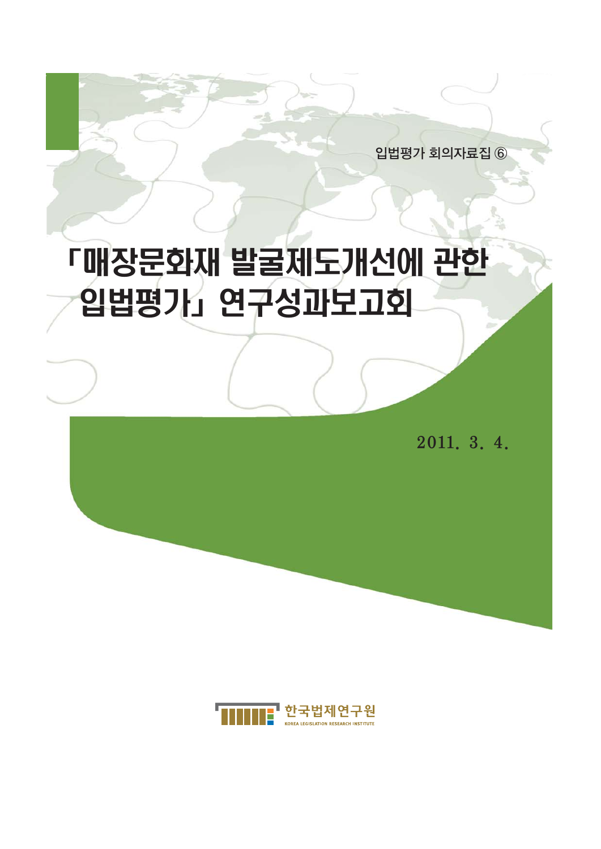2011. 3. 4.

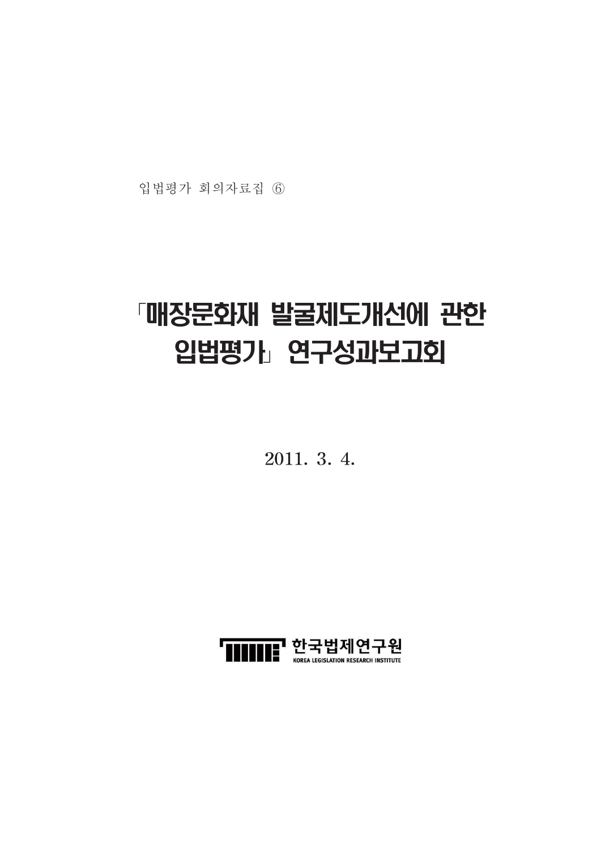입법평가 회의자료집 6

## 「매장문화재 발굴제도개선에 관한 입법평가」 연구성과보고회

2011. 3. 4.

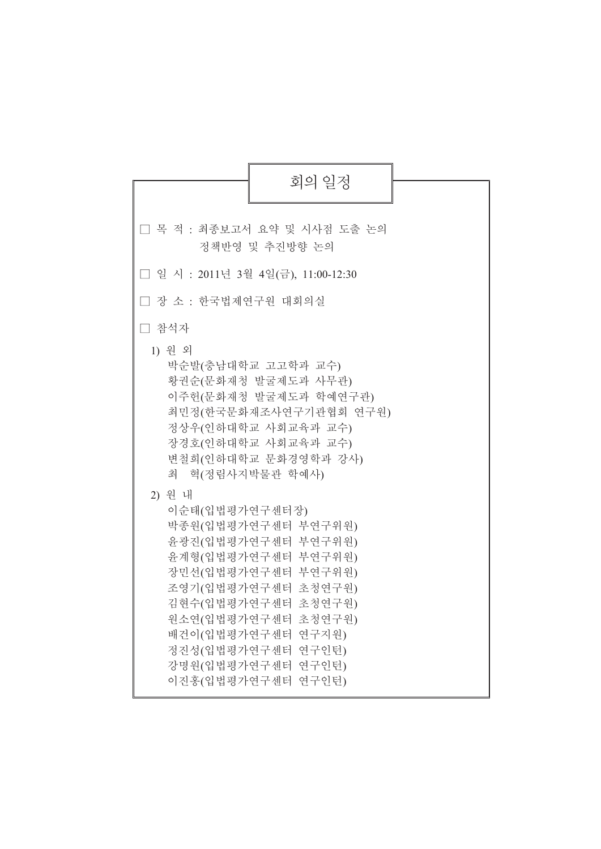| 회의 일정                                                                                                                                                                                                                                                                                                                                           |
|-------------------------------------------------------------------------------------------------------------------------------------------------------------------------------------------------------------------------------------------------------------------------------------------------------------------------------------------------|
| □ 목 적 : 최종보고서 요약 및 시사점 도출 논의<br>정책반영 및 추진방향 논의                                                                                                                                                                                                                                                                                                  |
| □ 일 시 : 2011년 3월 4일(금), 11:00-12:30                                                                                                                                                                                                                                                                                                             |
| □ 장 소 : 한국법제연구원 대회의실                                                                                                                                                                                                                                                                                                                            |
| □ 참석자                                                                                                                                                                                                                                                                                                                                           |
| 1) 원 외<br>박순발(충남대학교 고고학과 교수)<br>황권순(문화재청 발굴제도과 사무관)<br>이주헌(문화재청 발굴제도과 학예연구관)<br>최민정(한국문화재조사연구기관협회 연구원)<br>정상우(인하대학교 사회교육과 교수)<br>장경호(인하대학교 사회교육과 교수)<br>변철희(인하대학교 문화경영학과 강사)<br>최 혁(정림사지박물관 학예사)<br>2) 원 내<br>이순태(입법평가연구센터장)<br>박종원(입법평가연구센터 부연구위원)<br>윤광진(입법평가연구센터 부연구위원)<br>윤계형(입법평가연구센터 부연구위원)<br>장민선(입법평가연구센터 부연구위원)<br>조영기(입법평가연구센터 초청연구원) |
| 김현수(입법평가연구센터 초청연구원)<br>원소연(입법평가연구센터 초청연구원)<br>배건이(입법평가연구센터 연구지원)<br>정진성(입법평가연구센터 연구인턴)<br>강명원(입법평가연구센터 연구인턴)<br>이진홍(입법평가연구센터 연구인턴)                                                                                                                                                                                                              |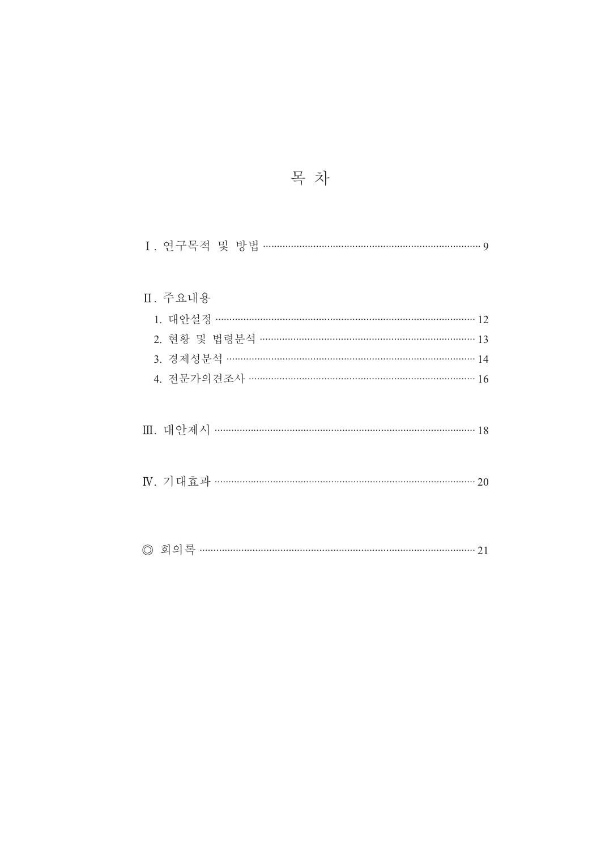| 목 차 |  |
|-----|--|
|     |  |

| Ⅱ. 주요내용<br>1. 대안설정 …………………………………………………………………………… 12<br>2. 현황 및 법령분석 ………………………………………………………………… 13<br>3. 경제성분석 ……………………………………………………………………… 14 |
|---------------------------------------------------------------------------------------------------------------------------------------------|
| 4. 전문가의견조사 …………………………………………………………………… 16<br>Ⅲ. 대안제시 ……………………………………………………………………………………… 18                                                    |
|                                                                                                                                             |
|                                                                                                                                             |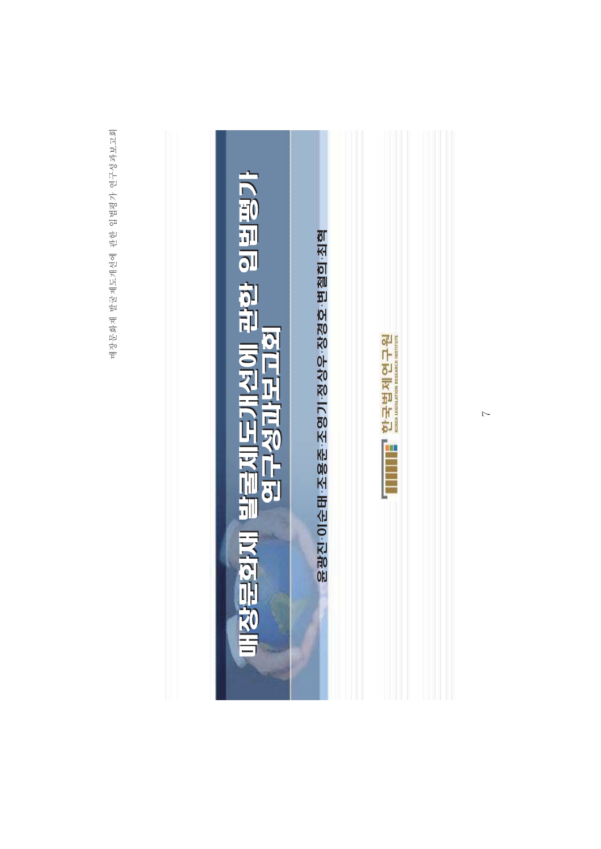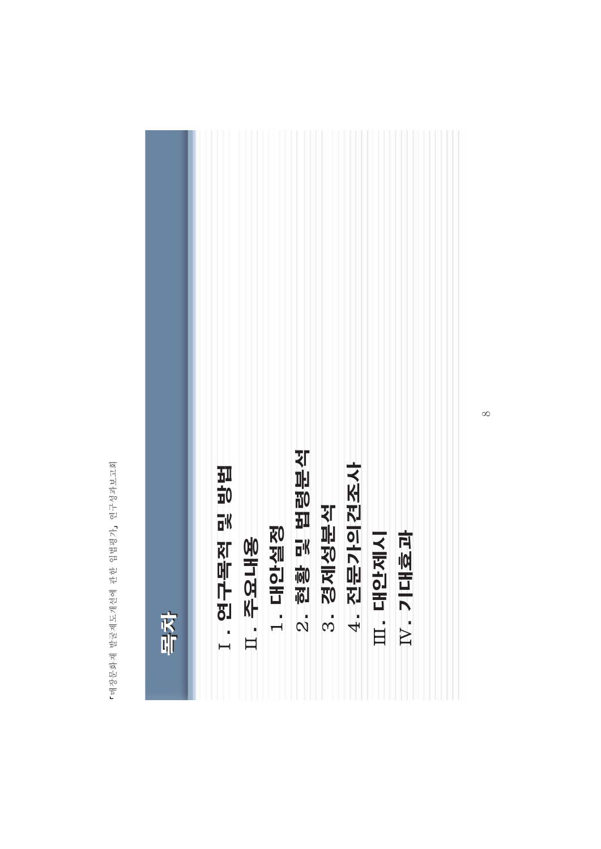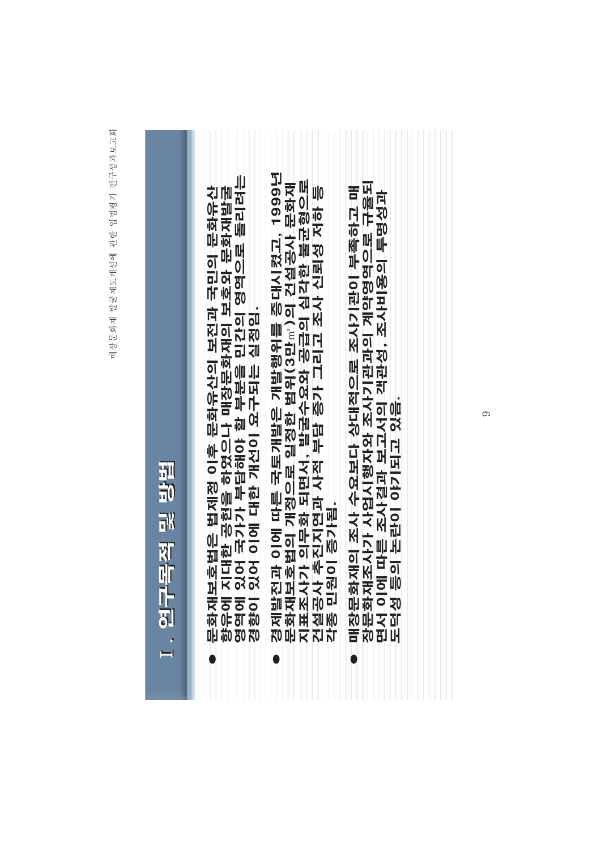## 경제발전과 이에 따른 국토개발은 개발행위를 증대시켰고, 1999년 영역에 있어 국가가 부담해야 할 부분을 민간의 영역으로 돌리려는<br>경향이 있어 이에 대한 개선이 요구되는 실정임. 문화재보호법의 개정으로 일정한 범위(3만㎡)의 건설공사 문화재<br>지표조사가 의무화 되면서, 발굴수요와 공급의 심각한 불균형으로<br>건설공사 추진지연과 사적 부담 증가 그리고 조사 신뢰성 저하 등 장문화재조사가 사업시행자와 조사기 개이 계을되 문화재보호법은 법제정 이후 문화유산의 보전과 국민의 문화유산<br>향유에 지대한 공헌을 하였으나 매장문화재의 보호와 문화재발굴 매장문화재의 조사 수요보다 상대적으로 조사기관이 부족하고 매 면서 이에 따른 조사결과 보고서의 객관성, 조사비용의 투명성과<br>도덕성 등의 논란이 야기되고 있음. 연구목적 및 방법 각종 민원이 증가됨. ¢  $\mapsto$  $\bullet$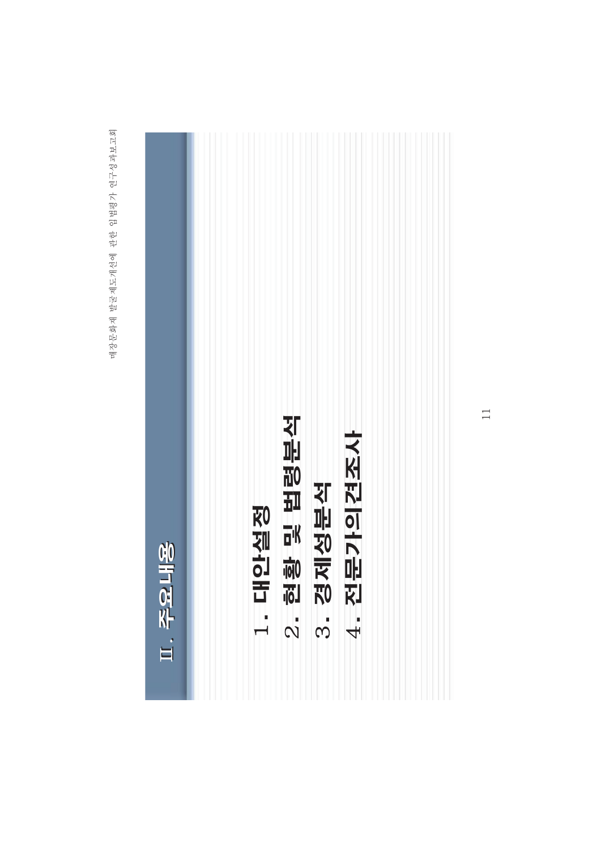| 工 辛旦山名                                   |  |
|------------------------------------------|--|
|                                          |  |
| 안실정<br>舌<br>$\frac{1}{1}$                |  |
| 및 법령분석<br>19<br>$\overline{\mathcal{N}}$ |  |
| 경제성분석<br>က်                              |  |
| 전문가의견조사<br>$\frac{1}{4}$                 |  |
|                                          |  |
|                                          |  |

 $\overline{11}$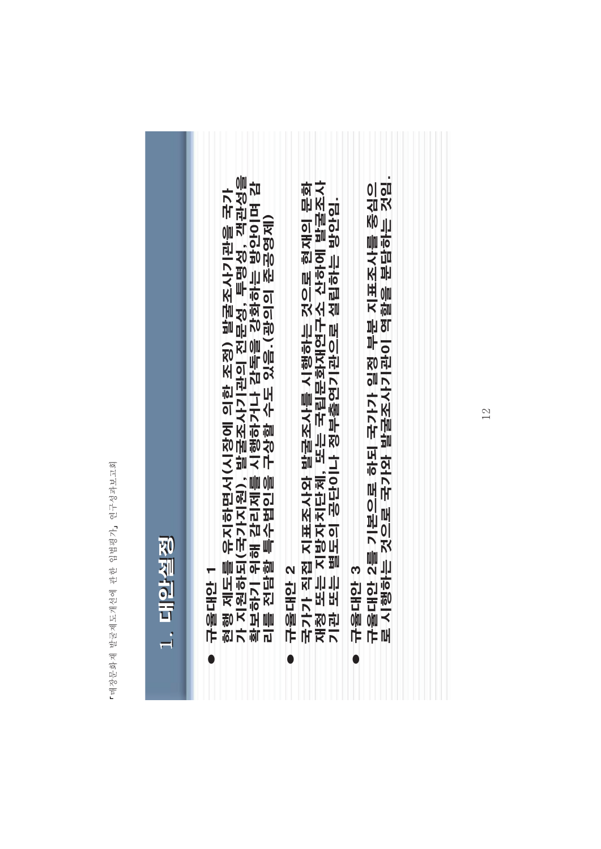| 를 유지하면서(시장에 의한 조정) 발굴조사기관을 국가<br>'되(국가지원), 발굴조사기관의 전문성, 투명성, 객관성을<br>위해 감리제를 시행하거나 감독을 강화하는 방안이며 감<br>'할 특수법인을 구상할 수도 있음.(광의의 준공영제)<br>규율대안 2를 기본으로 하되 국가가 일정 부분 지표조사를 중심으<br>로 시행하는 것으로 국가와 발굴조사기관이 역할을 분담하는 것임<br>접 지표조사와 발굴조사를 시행하는 것으로 현재의 문화<br>지방자치단체, 또는 국립문화재연구소 산하에 발굴조사<br>· 별도의 공단이나 정부출연기관으로 설립하는 방안임.<br>1. 대안설정<br>규율대안 2<br>국가가 직접<br>재청 또는 지<br>기관 또는 발<br>ო<br>┯<br>규율대안 1<br>현행 제도를<br>각 지원하다<br>확보하기 위<br>나울대안 |
|-----------------------------------------------------------------------------------------------------------------------------------------------------------------------------------------------------------------------------------------------------------------------------------------------------------------------------------------------------------------------------------------------------------------------------------|
|-----------------------------------------------------------------------------------------------------------------------------------------------------------------------------------------------------------------------------------------------------------------------------------------------------------------------------------------------------------------------------------------------------------------------------------|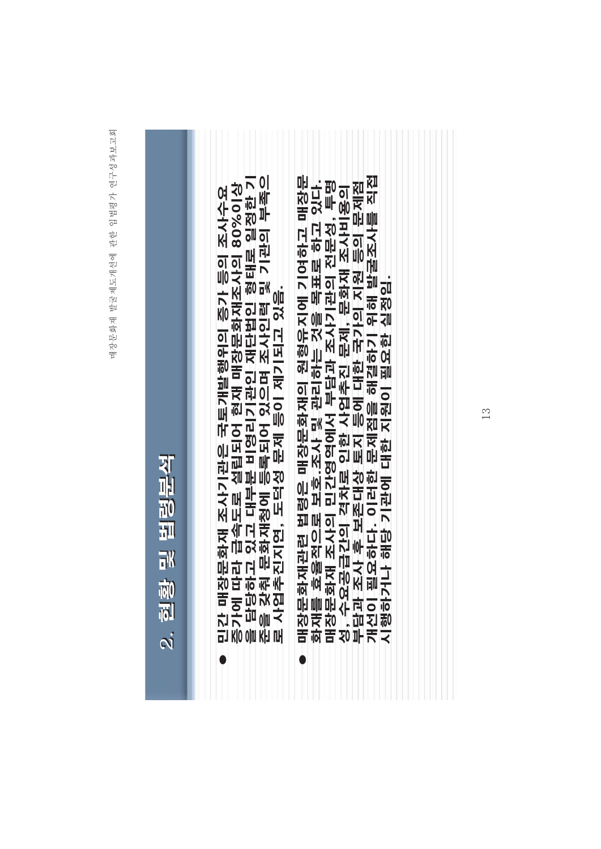| 对叫        |  |
|-----------|--|
| 10<br>11  |  |
|           |  |
| 祁         |  |
| ले)<br>हो |  |
|           |  |
| $\vec{N}$ |  |

- 민간 매장문화재 조사기관은 국토개발행위의 증가 등의 조사수요<br>증가에 따라 급속도로 설립되어 현재 매장문화재조사의 80%이상<br>을 담당하고 있고 대부분 비영리기관인 재단법인 형태로 일정한 기<br>준을 갖춰 문화재청에 등록되어 있으며 조사인력 및 기관의 부족으<br>로 사업추진지연, 도덕성 문제 등이 제기되고 있음.  $\bullet$
- 매장문화재관련 법령은 매장문화재의 원형류 대장문 개선이 필요하다. 이러한 문제점을 해결하기 위해 발굴조사를 직접<br>시행하거나 해당 기관에 대한 지원이 필요한 실정임. 화재를 효율적으로 보호.조사 및 관리하는 것을 목표로 하고 있다. 매장문화재 조사의 민간영역에서 부담과 조사기관의 전문성, 투명 성, 수요공급간의 격차로 인한 사업추진 문제, 문화재 조사비용의<br>부담과 조사 후 보존대상 토지 등에 대한 국가의 지원 등의 문제점 Ö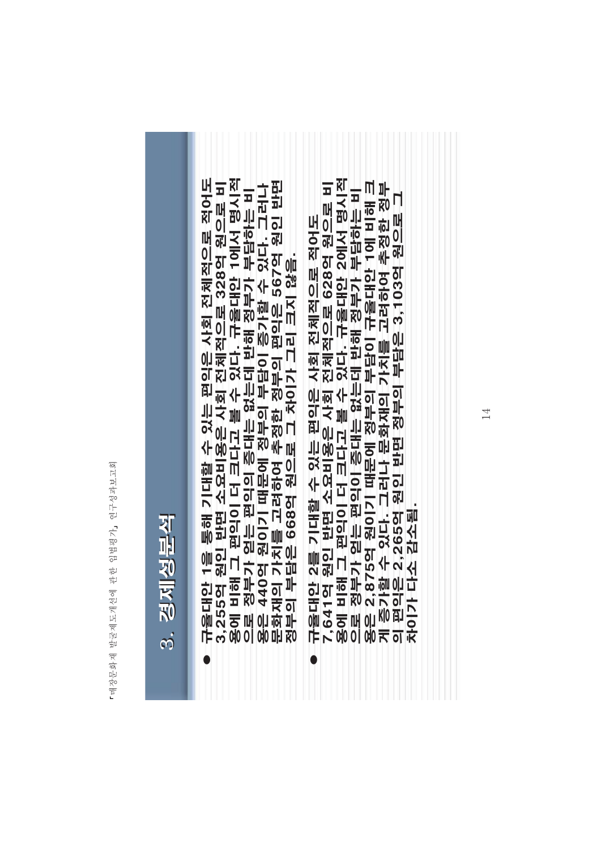| ηU                      |
|-------------------------|
| FÍ                      |
|                         |
| 연구성과보.                  |
|                         |
|                         |
|                         |
|                         |
| 7                       |
| $\mathbb{F}^{\circ}$    |
|                         |
| 파군<br>대학                |
|                         |
| 한                       |
|                         |
|                         |
|                         |
|                         |
| स्रे                    |
| 兲                       |
|                         |
| ij                      |
| $\frac{1}{\mathcal{R}}$ |
|                         |
| 山宝                      |
| ₹                       |
|                         |
|                         |
|                         |
| 매장문화                    |

| г           |
|-------------|
| r<br>Ĝ<br>Í |

- 3,255억 원인 반면 소요비용은 사회 전체적으로 328억 원으로 비용에 비해 그 편익이 더 크다고 볼 수 있다. 규율대안 1에서 명시적으로 정부가 얻는 편익의 증대는 없는데 반해 정부가 부담하는 비용은 440억 원이기 때문에 정부의 부담이 증가할 수 있다. 그러나<br>용은 440억 원이기 때문에 정부의 부담이 증가할 수 있다. 그러나<br>용은 440억 원이기 때문에 정부의 부담이 증가할 수 있다. 규율대안 1을 통해 기대할 수 있는 편익은 사회 전체적으로 적어도
- 규율대안 2를 기대할 수 있는 편익은 사회 전체적으로 적어도<br>7,641억 원인 반면 소요비용은 사회 전체적으로 628억 원으로 비용에 비해 그 편익이 더 크다고 볼 수 있다. 규율대안 2에서 명시적<br>용에 비해 그 편익이 더 크다고 볼 수 있다. 규율대안 2에서 명시적<br>오로 정부가 얻는 편익이 증대는 없는데 반해 정부가 부담하는 비<br>오로 정부가 얻는 편의이 증대는 없는데 반해 정부가 부담하는 비  $\mathsf{L}$ 원으로 3,103억 2,265억 원인 반면 정부의 부담은 감소됨  $\overline{\mathcal{L}}$ 의 편익은 차이가다.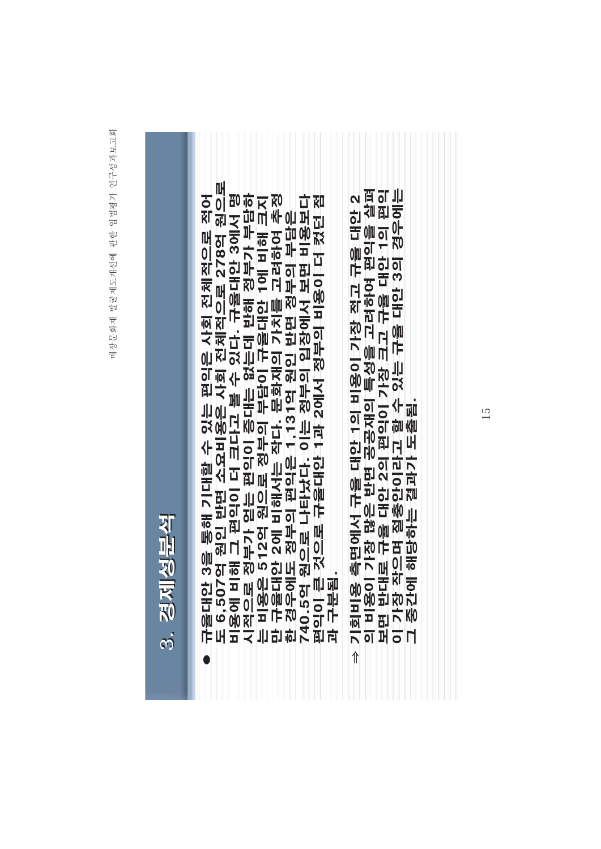| Ч      |
|--------|
| j<br>į |

- 규율대안 3을 통해 기대할 수 있는 편익은 사회 전체적으로 적어<br>도 6,507억 원인 반면 소요비용은 사회 전체적으로 278억 원으로<br>비용에 비해 그 편익이 더 크다고 볼 수 있다. 규율대안 3에서 명<br>시적으로 정부가 얻는 편익이 증대는 없는데 반해 정부가 부담하<br>는 비용은 512억 원으로 정부의 부담이 규율대안 1에 비해 크지<br>단 구율대안 2에 비해서는 작다. 문화재의 가치를 고려하여 추정<br>
	- 의 비용이 가장 많은 반면 공공재의 특성을 고려하여 편익을 살펴<br>보면 반대로 규율 대안 2의 편익이 가장 크고 규율 대안 1의 편익<br>이 가장 작으며 절충안이라고 할 수 있는 규율 대안 3의 경우에는<br>그 중간에 해당하는 결과가 도출됨. ⇒ 기회비용 측면에서 규율 대안 1의 비용이 가장 적고 규율 대안 2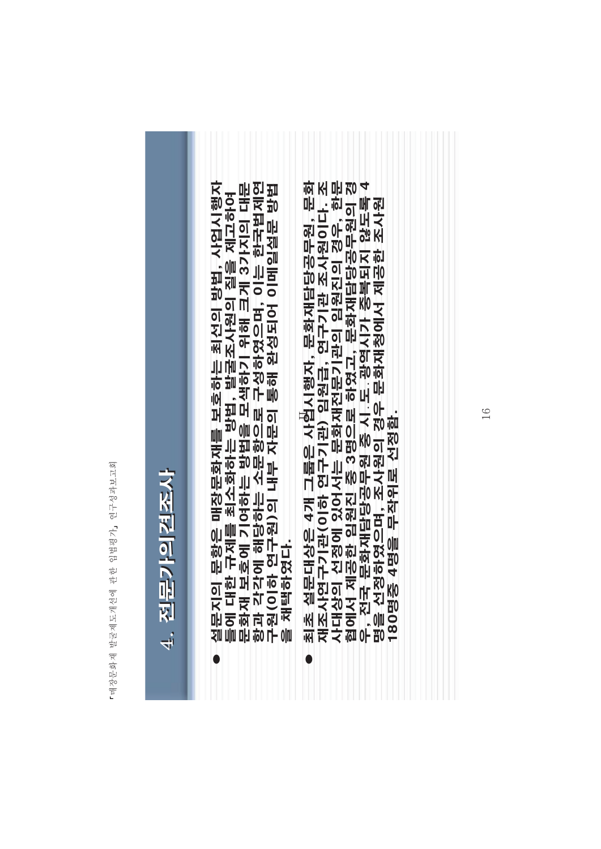| 网<br>FÌ<br>성과보.<br>연구스                         |  |
|------------------------------------------------|--|
| $\overline{\tau}$<br>Bo<br>Bo<br>담<br>고구<br>고구 |  |
| 관한                                             |  |
| 도개선에<br>$\overline{\mathcal{R}}$<br>咖<br>前     |  |
| Ħ<br>荷<br>마<br>$\vec{\pi}$<br>Ē                |  |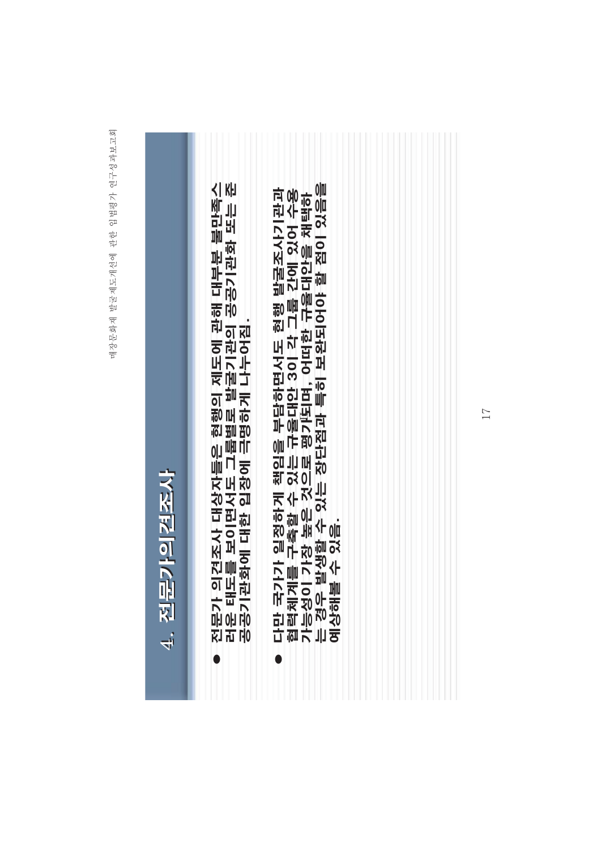## 전문가 의견조사 대상자들은 현행의 제도에 관해 대부분 불만족스<br>러운 태도를 보이면서도 그룹별로 발굴기관의 공공기관화 또는 준<br>공공기관화에 대한 입장에 극명하게 나누어짐. 는 경우 발생할 수 있는 장단점과 특히 보완되어야 할 점이 있음을 다만 국가가 일정하게 책임을 부담하면서도 현행 발굴조사기관과<br>협력체계를 구축할 수 있는 규율대안 3이 각 그룹 간에 있어 수용<br>기능성이 가장 높은 것으로 평가되며, 어떠한 규율대안을 채택하 <u>진문가의견조사</u> 예상해볼 수 있음.  $\overline{4}$  $\bullet$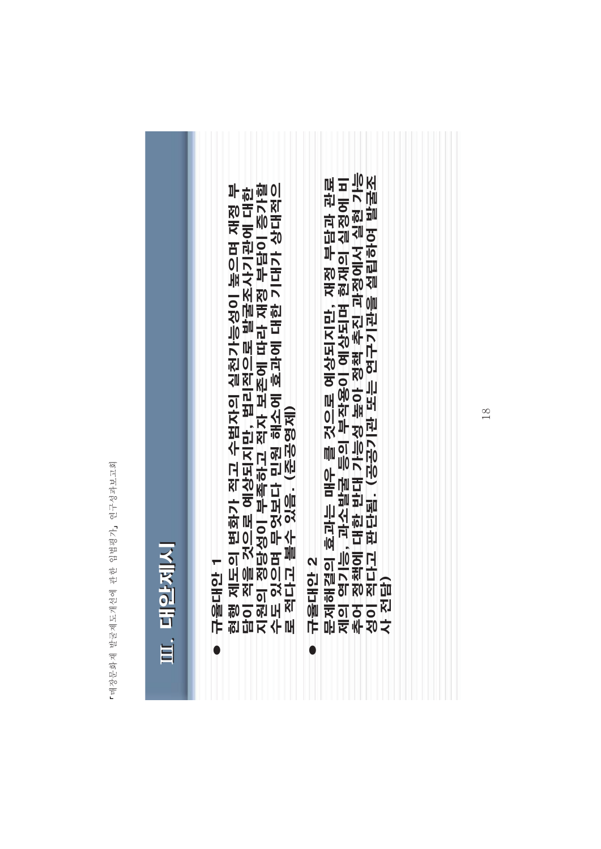| Ⅲ. 대안제시                                                                                                                                                             |
|---------------------------------------------------------------------------------------------------------------------------------------------------------------------|
| 규율대안 1<br>현행 제도의 변화가 적고 수범자의 실천가능성이 높으며 재정 부<br>담이 적을 것으로 예상되지만, 법리적으로 발굴조사기관에 대한<br>지원의 정당성이 부족하고 적자 보존에 따라 재정 부담이 증가할<br>수도 있으며 무엇보다 민원 해소에 효과에 대한 기대가 상대적으       |
| 규율대안 2<br>문제해결의 효과는 매우 를 것으로 예상되지만, 재정 부담과 관료<br>제의 역기능, 과소발굴 등의 부작용이 예상되며 현재의 실정에 비<br>추어 정책에 대한 반대 가능성 높아 정책 추진 과정에서 실현 가능<br>성이 적다고 판단됨. (공공기관 또는 연구기관을 설립하여 발굴조 |
|                                                                                                                                                                     |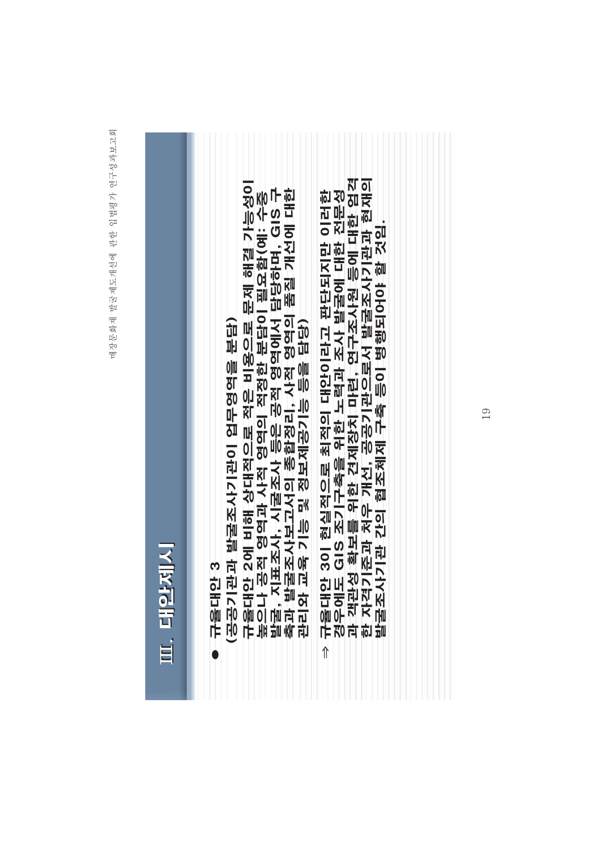| ij |
|----|
|    |
|    |
|    |
| İ  |
|    |
|    |
|    |

<u> 나동대안 3</u>  $\bullet$ 

(공문) 업무 발굴조사기 기업 이 관리 대표 한 번 있다.

규율대안 2에 비해 상대적으로 적은 비용으로 문제 해결 가능성이<br>높으나 공적 영역과 사적 영역의 적정한 분담이 필요함(예: 수중<br>발굴, 지표조사, 시굴조사 등은 공적 영역에서 담당하며, GIS 구<br>축과 발굴조사보고서의 종합정리, 사적 영역의 품질 개선에 대한<br>관리와 교육 기능 및 정보제공기능 등을 담당)

규율대안 3이 현실적으로 최적의 대안이라고 판단되지만 이러한<br>경우에도 GIS 조기구축을 위한 노력과 조사 발굴에 대한 전문성<br>과 객관성 확보를 위한 견제장치 마련, 연구조사원 등에 대한 엄격 한 자격기준과 처우 개선, 공공기관으로서 발굴조사기관과 현재의<br>발굴조사기관 간의 협조체제 구축 등이 병행되어야 할 것임.  $\hat{\mathbb{I}}$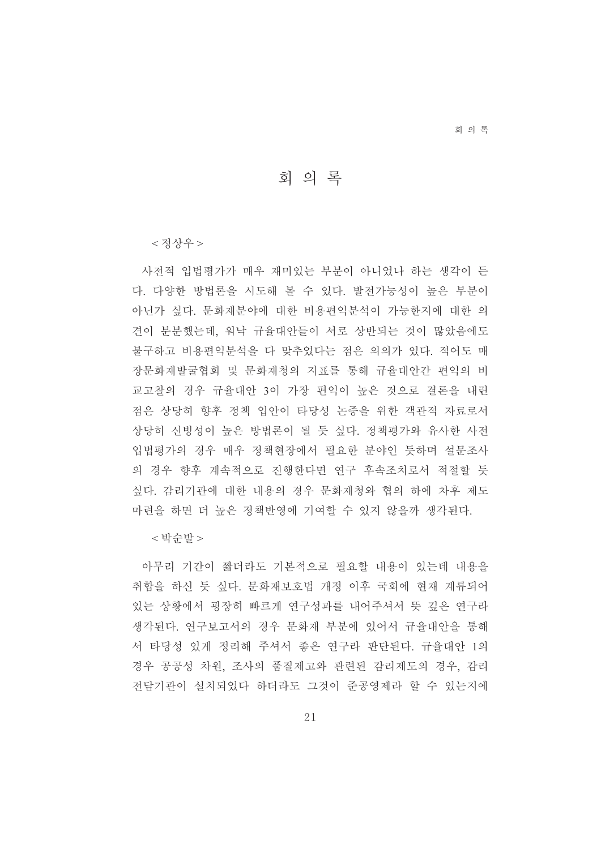회의록

회의록

<정상우>

사전적 입법평가가 매우 재미있는 부분이 아니었나 하는 생각이 든 다. 다양한 방법론을 시도해 볼 수 있다. 발전가능성이 높은 부분이 아닌가 싶다. 문화재분야에 대한 비용편익분석이 가능한지에 대한 의 견이 분분했는데. 워낙 규율대안들이 서로 상반되는 것이 많았음에도 불구하고 비용편익분석을 다 맞추었다는 점은 의의가 있다. 적어도 매 장문화재발굴협회 및 문화재청의 지표를 통해 규율대안간 편익의 비 교고찰의 경우 규율대안 3이 가장 편익이 높은 것으로 결론을 내린 점은 상당히 향후 정책 입안이 타당성 논증을 위한 객관적 자료로서 상당히 신빙성이 높은 방법론이 될 듯 싶다. 정책평가와 유사한 사전 입법평가의 경우 매우 정책현장에서 필요한 분야인 듯하며 설문조사 의 경우 향후 계속적으로 진행한다면 연구 후속조치로서 적절할 듯 싶다. 감리기관에 대한 내용의 경우 문화재청와 협의 하에 차후 제도 마련을 하면 더 높은 정책반영에 기여할 수 있지 않을까 생각된다.

< 박순발 >

아무리 기간이 짧더라도 기본적으로 필요할 내용이 있는데 내용을 취합을 하신 듯 싶다. 문화재보호법 개정 이후 국회에 현재 계류되어 있는 상황에서 굉장히 빠르게 연구성과를 내어주셔서 뜻 깊은 연구라 생각된다. 연구보고서의 경우 문화재 부분에 있어서 규율대안을 통해 서 타당성 있게 정리해 주셔서 좋은 연구라 판단된다. 규율대안 1의 경우 공공성 차원, 조사의 품질제고와 관련된 감리제도의 경우, 감리 전담기관이 설치되었다 하더라도 그것이 준공영제라 할 수 있는지에

21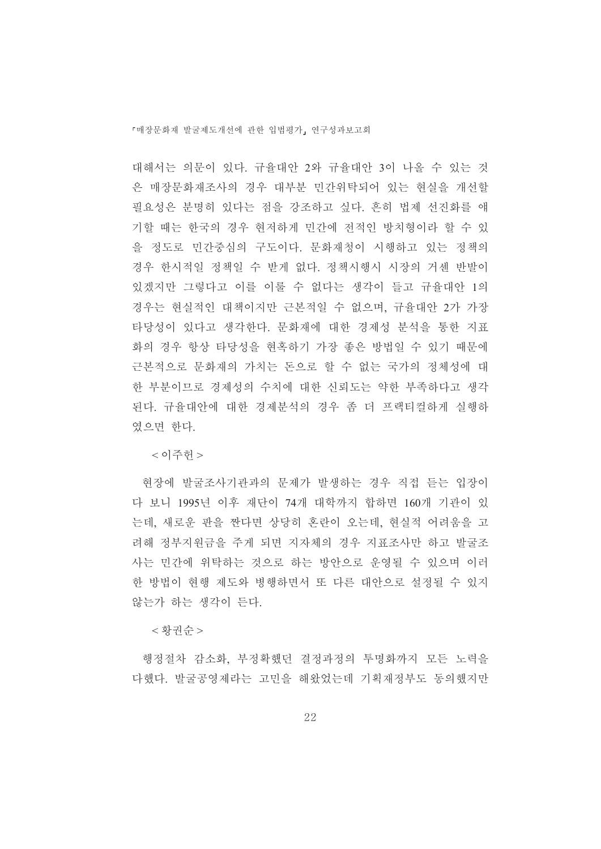대해서는 의문이 있다. 규율대안 2와 규율대안 3이 나올 수 있는 것 은 매장문화재조사의 경우 대부분 민간위탁되어 있는 현실을 개선할 필요성은 분명히 있다는 점을 강조하고 싶다. 흔히 법제 선진화를 얘 기할 때는 한국의 경우 현저하게 민간에 전적인 방치형이라 할 수 있 을 정도로 민간중심의 구도이다. 문화재청이 시행하고 있는 정책의 경우 한시적일 정책일 수 받게 없다. 정책시행시 시장의 거센 반발이 있겠지만 그렇다고 이를 이룰 수 없다는 생각이 들고 규율대안 1의 경우는 현실적인 대책이지만 근본적일 수 없으며, 규율대안 2가 가장 타당성이 있다고 생각한다. 문화재에 대한 경제성 분석을 통한 지표 화의 경우 항상 타당성을 현혹하기 가장 좋은 방법일 수 있기 때문에 근본적으로 문화재의 가치는 돈으로 할 수 없는 국가의 정체성에 대 한 부분이므로 경제성의 수치에 대한 신뢰도는 약한 부족하다고 생각 된다. 규율대안에 대한 경제분석의 경우 좀 더 프랙티컬하게 실행하 였으면 한다.

<이주헌 >

현장에 발굴조사기관과의 문제가 발생하는 경우 직접 듣는 입장이 다 보니 1995년 이후 재단이 74개 대학까지 합하면 160개 기관이 있 는데, 새로운 판을 짠다면 상당히 혼란이 오는데, 현실적 어려움을 고 려해 정부지워금을 주게 되면 지자체의 경우 지표조사만 하고 발굴조 사는 민간에 위탁하는 것으로 하는 방안으로 운영될 수 있으며 이러 한 방법이 현행 제도와 병행하면서 또 다른 대안으로 설정될 수 있지 않는가 하는 생각이 든다.

< 황권순 >

행정절차 감소화, 부정확했던 결정과정의 투명화까지 모든 노력을 다했다. 발굴공영제라는 고민을 해왔었는데 기획재정부도 동의했지만